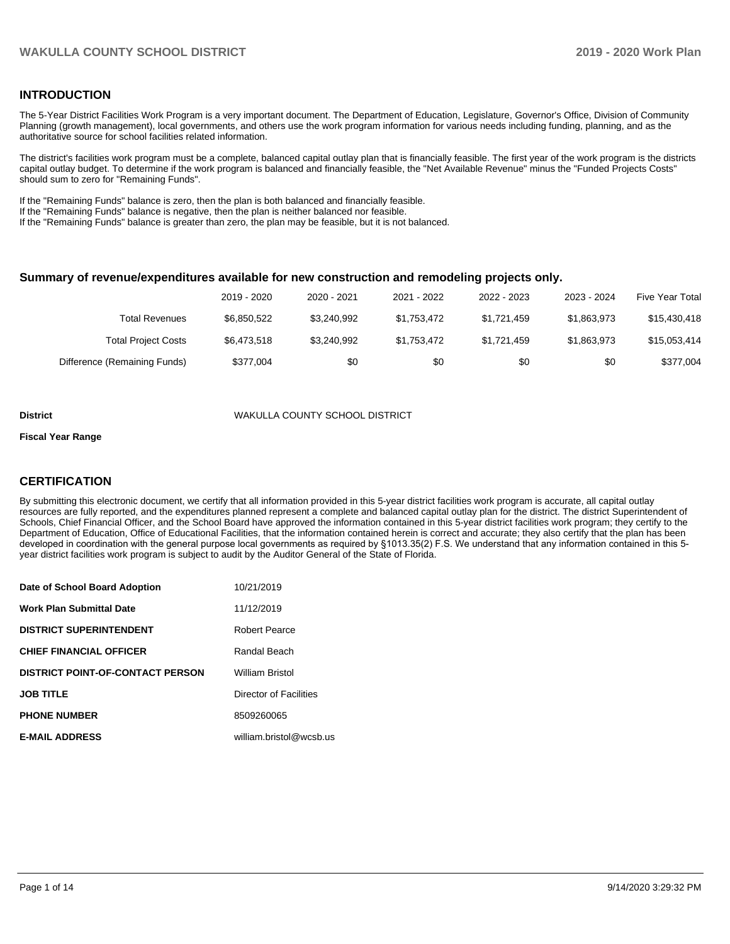## **INTRODUCTION**

The 5-Year District Facilities Work Program is a very important document. The Department of Education, Legislature, Governor's Office, Division of Community Planning (growth management), local governments, and others use the work program information for various needs including funding, planning, and as the authoritative source for school facilities related information.

The district's facilities work program must be a complete, balanced capital outlay plan that is financially feasible. The first year of the work program is the districts capital outlay budget. To determine if the work program is balanced and financially feasible, the "Net Available Revenue" minus the "Funded Projects Costs" should sum to zero for "Remaining Funds".

If the "Remaining Funds" balance is zero, then the plan is both balanced and financially feasible.

If the "Remaining Funds" balance is negative, then the plan is neither balanced nor feasible.

If the "Remaining Funds" balance is greater than zero, the plan may be feasible, but it is not balanced.

#### **Summary of revenue/expenditures available for new construction and remodeling projects only.**

|                              | 2019 - 2020 | 2020 - 2021 | 2021 - 2022 | 2022 - 2023 | 2023 - 2024 | Five Year Total |
|------------------------------|-------------|-------------|-------------|-------------|-------------|-----------------|
| Total Revenues               | \$6,850,522 | \$3,240,992 | \$1.753.472 | \$1,721,459 | \$1,863,973 | \$15,430,418    |
| <b>Total Project Costs</b>   | \$6,473,518 | \$3,240,992 | \$1,753,472 | \$1,721,459 | \$1,863,973 | \$15,053,414    |
| Difference (Remaining Funds) | \$377,004   | \$0         | \$0         | \$0         | \$0         | \$377,004       |

#### **District** WAKULLA COUNTY SCHOOL DISTRICT

#### **Fiscal Year Range**

## **CERTIFICATION**

By submitting this electronic document, we certify that all information provided in this 5-year district facilities work program is accurate, all capital outlay resources are fully reported, and the expenditures planned represent a complete and balanced capital outlay plan for the district. The district Superintendent of Schools, Chief Financial Officer, and the School Board have approved the information contained in this 5-year district facilities work program; they certify to the Department of Education, Office of Educational Facilities, that the information contained herein is correct and accurate; they also certify that the plan has been developed in coordination with the general purpose local governments as required by §1013.35(2) F.S. We understand that any information contained in this 5 year district facilities work program is subject to audit by the Auditor General of the State of Florida.

| Date of School Board Adoption           | 10/21/2019              |
|-----------------------------------------|-------------------------|
| Work Plan Submittal Date                | 11/12/2019              |
| <b>DISTRICT SUPERINTENDENT</b>          | <b>Robert Pearce</b>    |
| <b>CHIEF FINANCIAL OFFICER</b>          | Randal Beach            |
| <b>DISTRICT POINT-OF-CONTACT PERSON</b> | <b>William Bristol</b>  |
| <b>JOB TITLE</b>                        | Director of Facilities  |
| <b>PHONE NUMBER</b>                     | 8509260065              |
| <b>E-MAIL ADDRESS</b>                   | william.bristol@wcsb.us |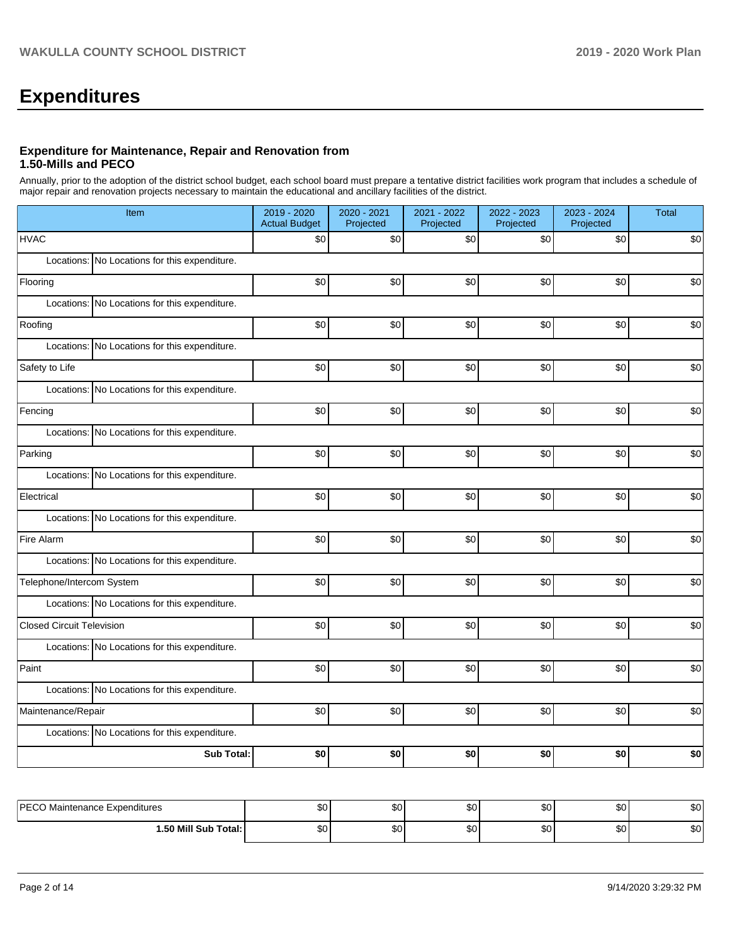# **Expenditures**

## **Expenditure for Maintenance, Repair and Renovation from 1.50-Mills and PECO**

Annually, prior to the adoption of the district school budget, each school board must prepare a tentative district facilities work program that includes a schedule of major repair and renovation projects necessary to maintain the educational and ancillary facilities of the district.

| Item                                          | 2019 - 2020<br><b>Actual Budget</b> | 2020 - 2021<br>Projected | 2021 - 2022<br>Projected | 2022 - 2023<br>Projected | 2023 - 2024<br>Projected | Total |  |  |  |  |  |
|-----------------------------------------------|-------------------------------------|--------------------------|--------------------------|--------------------------|--------------------------|-------|--|--|--|--|--|
| <b>HVAC</b>                                   | \$0                                 | \$0                      | \$0                      | \$0                      | \$0                      | \$0   |  |  |  |  |  |
| Locations: No Locations for this expenditure. |                                     |                          |                          |                          |                          |       |  |  |  |  |  |
| Flooring                                      | \$0                                 | \$0                      | \$0                      | \$0                      | \$0                      | \$0   |  |  |  |  |  |
| Locations: No Locations for this expenditure. |                                     |                          |                          |                          |                          |       |  |  |  |  |  |
| Roofing                                       | \$0                                 | \$0                      | \$0                      | \$0                      | \$0                      | \$0   |  |  |  |  |  |
| Locations: No Locations for this expenditure. |                                     |                          |                          |                          |                          |       |  |  |  |  |  |
| Safety to Life                                | \$0                                 | \$0                      | \$0                      | \$0                      | \$0                      | \$0   |  |  |  |  |  |
| Locations: No Locations for this expenditure. |                                     |                          |                          |                          |                          |       |  |  |  |  |  |
| Fencing                                       | \$0                                 | \$0                      | \$0                      | \$0                      | \$0                      | \$0   |  |  |  |  |  |
| Locations: No Locations for this expenditure. |                                     |                          |                          |                          |                          |       |  |  |  |  |  |
| Parking                                       | \$0                                 | \$0                      | \$0                      | \$0                      | \$0                      | \$0   |  |  |  |  |  |
| Locations: No Locations for this expenditure. |                                     |                          |                          |                          |                          |       |  |  |  |  |  |
| Electrical                                    | \$0                                 | \$0                      | \$0                      | \$0                      | \$0                      | \$0   |  |  |  |  |  |
| Locations: No Locations for this expenditure. |                                     |                          |                          |                          |                          |       |  |  |  |  |  |
| Fire Alarm                                    | \$0                                 | \$0                      | \$0                      | \$0                      | \$0                      | \$0   |  |  |  |  |  |
| Locations: No Locations for this expenditure. |                                     |                          |                          |                          |                          |       |  |  |  |  |  |
| Telephone/Intercom System                     | \$0                                 | \$0                      | \$0                      | \$0                      | \$0                      | \$0   |  |  |  |  |  |
| Locations: No Locations for this expenditure. |                                     |                          |                          |                          |                          |       |  |  |  |  |  |
| <b>Closed Circuit Television</b>              | \$0                                 | \$0                      | \$0                      | \$0                      | \$0                      | \$0   |  |  |  |  |  |
| Locations: No Locations for this expenditure. |                                     |                          |                          |                          |                          |       |  |  |  |  |  |
| Paint                                         | \$0                                 | \$0                      | \$0                      | \$0                      | \$0                      | \$0   |  |  |  |  |  |
| Locations: No Locations for this expenditure. |                                     |                          |                          |                          |                          |       |  |  |  |  |  |
| Maintenance/Repair                            | \$0                                 | \$0                      | \$0                      | \$0                      | \$0                      | \$0   |  |  |  |  |  |
| Locations: No Locations for this expenditure. |                                     |                          |                          |                          |                          |       |  |  |  |  |  |
| Sub Total:                                    | \$0                                 | \$0                      | \$0                      | \$0                      | \$0                      | \$0   |  |  |  |  |  |
|                                               |                                     |                          |                          |                          |                          |       |  |  |  |  |  |
| PECO Maintenance Expenditures                 | \$0 <sub>l</sub>                    | \$0 <sub>1</sub>         | \$0                      | \$0                      | \$0                      | \$0   |  |  |  |  |  |

| <b>IDECO</b><br>laintenance Expenditures | w | $\sim$<br>ພບ | m 2<br>w    |   | ሖ<br>υ∪ | n n<br>งบ |
|------------------------------------------|---|--------------|-------------|---|---------|-----------|
| 1.50 Mill Sub Total:                     | Ψ | $\sim$<br>ພບ | m c<br>- DU | w | ົ<br>υ∪ | ሶስ<br>งบ  |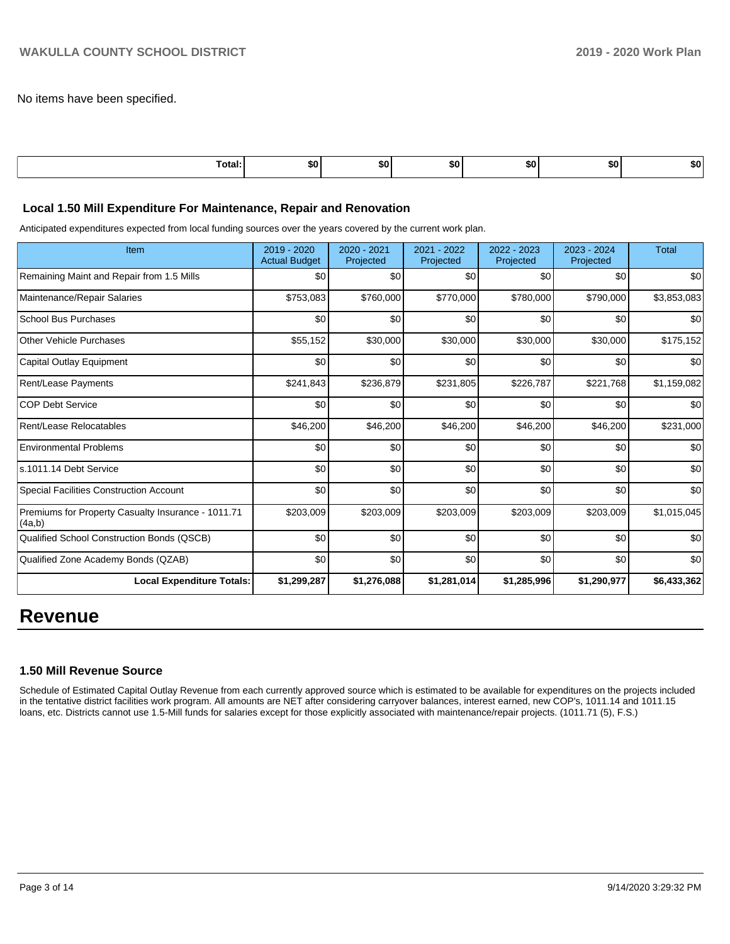No items have been specified.

| Total: | \$0 | SO I | . .<br>. | <b>SO</b> | <u>та</u><br>ъU | 50. |
|--------|-----|------|----------|-----------|-----------------|-----|
|        |     |      |          |           |                 |     |

### **Local 1.50 Mill Expenditure For Maintenance, Repair and Renovation**

Anticipated expenditures expected from local funding sources over the years covered by the current work plan.

| Item                                                         | 2019 - 2020<br><b>Actual Budget</b> | 2020 - 2021<br>Projected | 2021 - 2022<br>Projected | 2022 - 2023<br>Projected | 2023 - 2024<br>Projected | <b>Total</b> |
|--------------------------------------------------------------|-------------------------------------|--------------------------|--------------------------|--------------------------|--------------------------|--------------|
| Remaining Maint and Repair from 1.5 Mills                    | \$0                                 | \$0                      | \$0                      | \$0                      | \$0                      | \$0          |
| Maintenance/Repair Salaries                                  | \$753,083                           | \$760,000                | \$770,000                | \$780,000                | \$790,000                | \$3,853,083  |
| <b>School Bus Purchases</b>                                  | \$0                                 | \$0                      | \$0                      | \$0                      | \$0                      | \$0          |
| <b>Other Vehicle Purchases</b>                               | \$55,152                            | \$30,000                 | \$30,000                 | \$30,000                 | \$30,000                 | \$175,152    |
| Capital Outlay Equipment                                     | \$0                                 | \$0                      | \$0                      | \$0                      | \$0                      | \$0          |
| Rent/Lease Payments                                          | \$241,843                           | \$236,879                | \$231,805                | \$226,787                | \$221,768                | \$1,159,082  |
| <b>COP Debt Service</b>                                      | \$0                                 | \$0                      | \$0                      | \$0                      | \$0                      | \$0          |
| Rent/Lease Relocatables                                      | \$46,200                            | \$46,200                 | \$46,200                 | \$46,200                 | \$46,200                 | \$231,000    |
| <b>Environmental Problems</b>                                | \$0                                 | \$0                      | \$0                      | \$0                      | \$0                      | \$0          |
| s.1011.14 Debt Service                                       | \$0                                 | \$0                      | \$0                      | \$0                      | \$0                      | \$0          |
| <b>Special Facilities Construction Account</b>               | \$0                                 | \$0                      | \$0                      | \$0                      | \$0                      | \$0          |
| Premiums for Property Casualty Insurance - 1011.71<br>(4a,b) | \$203,009                           | \$203,009                | \$203,009                | \$203,009                | \$203,009                | \$1,015,045  |
| Qualified School Construction Bonds (QSCB)                   | \$0                                 | \$0                      | \$0                      | \$0                      | \$0                      | \$0          |
| Qualified Zone Academy Bonds (QZAB)                          | \$0                                 | \$0                      | \$0                      | \$0                      | \$0                      | \$0          |
| <b>Local Expenditure Totals:</b>                             | \$1,299,287                         | \$1,276,088              | \$1,281,014              | \$1,285,996              | \$1,290,977              | \$6,433,362  |

# **Revenue**

#### **1.50 Mill Revenue Source**

Schedule of Estimated Capital Outlay Revenue from each currently approved source which is estimated to be available for expenditures on the projects included in the tentative district facilities work program. All amounts are NET after considering carryover balances, interest earned, new COP's, 1011.14 and 1011.15 loans, etc. Districts cannot use 1.5-Mill funds for salaries except for those explicitly associated with maintenance/repair projects. (1011.71 (5), F.S.)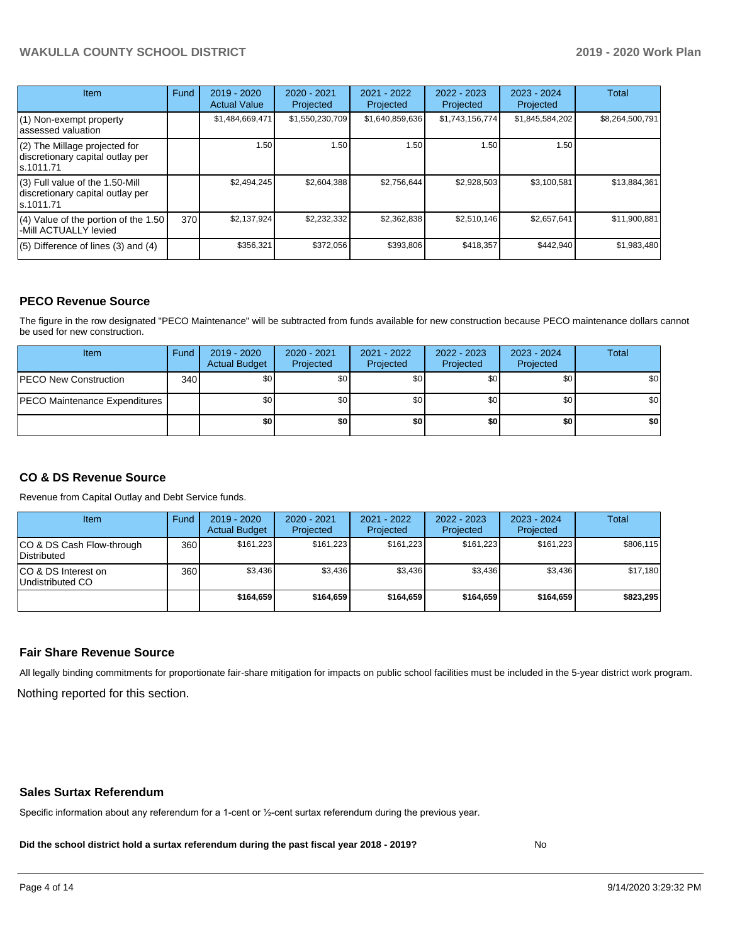# **WAKULLA COUNTY SCHOOL DISTRICT 2019 - 2020 Work Plan**

| <b>Item</b>                                                                         | Fund | $2019 - 2020$<br><b>Actual Value</b> | $2020 - 2021$<br>Projected | 2021 - 2022<br>Projected | $2022 - 2023$<br>Projected | $2023 - 2024$<br>Projected | Total           |
|-------------------------------------------------------------------------------------|------|--------------------------------------|----------------------------|--------------------------|----------------------------|----------------------------|-----------------|
| $(1)$ Non-exempt property<br>lassessed valuation                                    |      | \$1,484,669,471                      | \$1,550,230,709            | \$1,640,859,636          | \$1,743,156,774            | \$1,845,584,202            | \$8,264,500,791 |
| (2) The Millage projected for<br>discretionary capital outlay per<br>ls.1011.71     |      | 1.50                                 | 1.50 <sub>1</sub>          | 1.50                     | 1.50                       | 1.50                       |                 |
| $(3)$ Full value of the 1.50-Mill<br>discretionary capital outlay per<br>ls.1011.71 |      | \$2,494,245                          | \$2,604,388                | \$2,756,644              | \$2,928,503                | \$3,100,581                | \$13,884,361    |
| $(4)$ Value of the portion of the 1.50<br>-Mill ACTUALLY levied                     | 370  | \$2,137,924                          | \$2,232,332                | \$2,362,838              | \$2,510,146                | \$2,657,641                | \$11,900,881    |
| $(5)$ Difference of lines $(3)$ and $(4)$                                           |      | \$356,321                            | \$372,056                  | \$393,806                | \$418,357                  | \$442.940                  | \$1,983,480     |

## **PECO Revenue Source**

The figure in the row designated "PECO Maintenance" will be subtracted from funds available for new construction because PECO maintenance dollars cannot be used for new construction.

| Item                                 | Fund | 2019 - 2020<br><b>Actual Budget</b> | 2020 - 2021<br>Projected | 2021 - 2022<br>Projected | $2022 - 2023$<br>Projected | 2023 - 2024<br>Projected | Total            |
|--------------------------------------|------|-------------------------------------|--------------------------|--------------------------|----------------------------|--------------------------|------------------|
| <b>PECO New Construction</b>         | 340  | \$0                                 | \$0 <sub>1</sub>         | \$0                      | \$0 <sub>0</sub>           | \$0 <sub>1</sub>         | \$0 <sub>1</sub> |
| <b>PECO Maintenance Expenditures</b> |      | ا 30                                | \$٥Ι                     | \$0                      | \$0 <sub>1</sub>           | \$0                      | \$0              |
|                                      |      | \$0                                 | \$0                      | \$0                      | \$0                        | \$0                      | \$0              |

## **CO & DS Revenue Source**

Revenue from Capital Outlay and Debt Service funds.

| Item                                      | Fund  | $2019 - 2020$<br><b>Actual Budget</b> | 2020 - 2021<br>Projected | 2021 - 2022<br>Projected | $2022 - 2023$<br>Projected | 2023 - 2024<br>Projected | Total     |
|-------------------------------------------|-------|---------------------------------------|--------------------------|--------------------------|----------------------------|--------------------------|-----------|
| ICO & DS Cash Flow-through<br>Distributed | 360 l | \$161.223                             | \$161.223                | \$161.223                | \$161.223                  | \$161.223                | \$806,115 |
| ICO & DS Interest on<br>Undistributed CO  | 360   | \$3.436                               | \$3.436                  | \$3.436                  | \$3.436                    | \$3,436                  | \$17,180  |
|                                           |       | \$164.659                             | \$164.659                | \$164.659                | \$164.659                  | \$164.659                | \$823.295 |

### **Fair Share Revenue Source**

Nothing reported for this section. All legally binding commitments for proportionate fair-share mitigation for impacts on public school facilities must be included in the 5-year district work program.

#### **Sales Surtax Referendum**

Specific information about any referendum for a 1-cent or ½-cent surtax referendum during the previous year.

**Did the school district hold a surtax referendum during the past fiscal year 2018 - 2019?**

No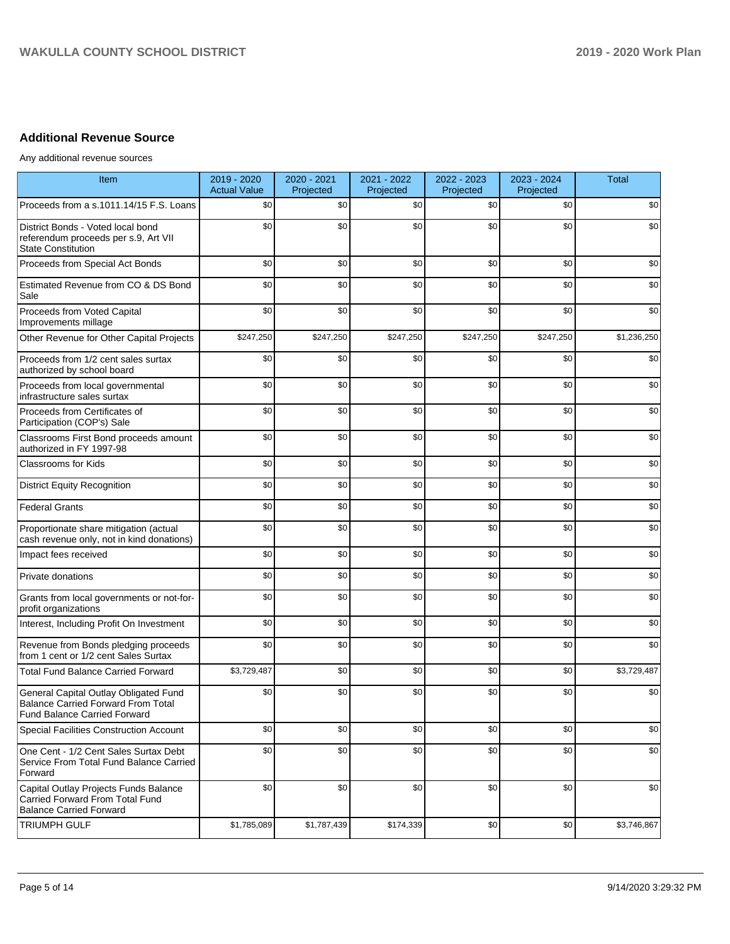# **Additional Revenue Source**

Any additional revenue sources

| Item                                                                                                                      | 2019 - 2020<br><b>Actual Value</b> | 2020 - 2021<br>Projected | 2021 - 2022<br>Projected | 2022 - 2023<br>Projected | 2023 - 2024<br>Projected | <b>Total</b> |
|---------------------------------------------------------------------------------------------------------------------------|------------------------------------|--------------------------|--------------------------|--------------------------|--------------------------|--------------|
| Proceeds from a s.1011.14/15 F.S. Loans                                                                                   | \$0                                | \$0                      | \$0                      | \$0                      | \$0                      | \$0          |
| District Bonds - Voted local bond<br>referendum proceeds per s.9, Art VII<br><b>State Constitution</b>                    | \$0                                | \$0                      | \$0                      | \$0                      | \$0                      | \$0          |
| Proceeds from Special Act Bonds                                                                                           | \$0                                | \$0                      | \$0                      | \$0                      | \$0                      | \$0          |
| Estimated Revenue from CO & DS Bond<br>Sale                                                                               | \$0                                | \$0                      | \$0                      | \$0                      | \$0                      | \$0          |
| Proceeds from Voted Capital<br>Improvements millage                                                                       | \$0                                | \$0                      | \$0                      | \$0                      | \$0                      | \$0          |
| Other Revenue for Other Capital Projects                                                                                  | \$247,250                          | \$247,250                | \$247,250                | \$247,250                | \$247,250                | \$1,236,250  |
| Proceeds from 1/2 cent sales surtax<br>authorized by school board                                                         | \$0                                | \$0                      | \$0                      | \$0                      | \$0                      | \$0          |
| Proceeds from local governmental<br>infrastructure sales surtax                                                           | \$0                                | \$0                      | \$0                      | \$0                      | \$0                      | \$0          |
| Proceeds from Certificates of<br>Participation (COP's) Sale                                                               | \$0                                | \$0                      | \$0                      | \$0                      | \$0                      | \$0          |
| Classrooms First Bond proceeds amount<br>authorized in FY 1997-98                                                         | \$0                                | \$0                      | \$0                      | \$0                      | \$0                      | \$0          |
| <b>Classrooms for Kids</b>                                                                                                | \$0                                | \$0                      | \$0                      | \$0                      | \$0                      | \$0          |
| <b>District Equity Recognition</b>                                                                                        | \$0                                | \$0                      | \$0                      | \$0                      | \$0                      | \$0          |
| <b>Federal Grants</b>                                                                                                     | \$0                                | \$0                      | \$0                      | \$0                      | \$0                      | \$0          |
| Proportionate share mitigation (actual<br>cash revenue only, not in kind donations)                                       | \$0                                | \$0                      | \$0                      | \$0                      | \$0                      | \$0          |
| Impact fees received                                                                                                      | \$0                                | \$0                      | \$0                      | \$0                      | \$0                      | \$0          |
| Private donations                                                                                                         | \$0                                | \$0                      | \$0                      | \$0                      | \$0                      | \$0          |
| Grants from local governments or not-for-<br>profit organizations                                                         | \$0                                | \$0                      | \$0                      | \$0                      | \$0                      | \$0          |
| Interest, Including Profit On Investment                                                                                  | \$0                                | \$0                      | \$0                      | \$0                      | \$0                      | \$0          |
| Revenue from Bonds pledging proceeds<br>from 1 cent or 1/2 cent Sales Surtax                                              | \$0                                | \$0                      | \$0                      | \$0                      | \$0                      | \$0          |
| <b>Total Fund Balance Carried Forward</b>                                                                                 | \$3,729,487                        | \$0                      | \$0                      | \$0                      | \$0                      | \$3,729,487  |
| General Capital Outlay Obligated Fund<br><b>Balance Carried Forward From Total</b><br><b>Fund Balance Carried Forward</b> | \$0                                | \$0                      | \$0                      | \$0                      | \$0                      | \$0          |
| Special Facilities Construction Account                                                                                   | \$0                                | \$0                      | \$0                      | \$0                      | \$0                      | \$0          |
| One Cent - 1/2 Cent Sales Surtax Debt<br>Service From Total Fund Balance Carried<br>Forward                               | \$0                                | \$0                      | \$0                      | \$0                      | \$0                      | \$0          |
| Capital Outlay Projects Funds Balance<br>Carried Forward From Total Fund<br><b>Balance Carried Forward</b>                | \$0                                | \$0                      | \$0                      | \$0                      | \$0                      | \$0          |
| <b>TRIUMPH GULF</b>                                                                                                       | \$1,785,089                        | \$1,787,439              | \$174,339                | \$0                      | \$0                      | \$3,746,867  |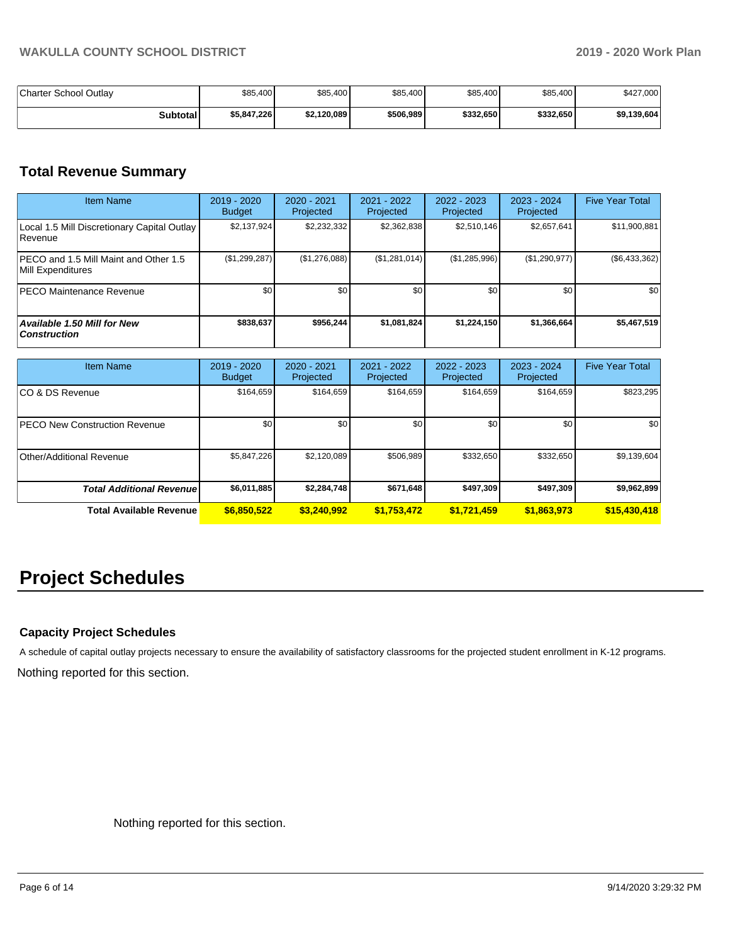| Charter School Outlav | \$85,400    | \$85,400    | \$85,400  | \$85,400  | \$85,400  | \$427,000   |
|-----------------------|-------------|-------------|-----------|-----------|-----------|-------------|
| <b>Subtotal</b>       | \$5,847,226 | \$2,120,089 | \$506.989 | \$332.650 | \$332,650 | \$9,139,604 |

# **Total Revenue Summary**

| <b>Item Name</b>                                           | $2019 - 2020$<br><b>Budget</b> | 2020 - 2021<br>Projected | 2021 - 2022<br>Projected | 2022 - 2023<br>Projected | 2023 - 2024<br>Projected | <b>Five Year Total</b> |
|------------------------------------------------------------|--------------------------------|--------------------------|--------------------------|--------------------------|--------------------------|------------------------|
| Local 1.5 Mill Discretionary Capital Outlay<br>l Revenue   | \$2,137,924                    | \$2,232,332              | \$2,362,838              | \$2,510,146              | \$2,657,641              | \$11,900,881           |
| PECO and 1.5 Mill Maint and Other 1.5<br>Mill Expenditures | (\$1,299,287)                  | (\$1,276,088)            | (\$1,281,014)            | (\$1,285,996)            | (\$1,290,977)            | $(\$6,433,362)$        |
| <b>PECO Maintenance Revenue</b>                            | \$0                            | \$0 <sub>1</sub>         | \$0                      | \$0                      | \$0                      | \$0                    |
| Available 1.50 Mill for New<br><b>Construction</b>         | \$838,637                      | \$956.244                | \$1,081,824              | \$1,224,150              | \$1,366,664              | \$5,467,519            |

| <b>Item Name</b>                     | 2019 - 2020<br><b>Budget</b> | 2020 - 2021<br>Projected | $2021 - 2022$<br>Projected | 2022 - 2023<br>Projected | 2023 - 2024<br>Projected | <b>Five Year Total</b> |
|--------------------------------------|------------------------------|--------------------------|----------------------------|--------------------------|--------------------------|------------------------|
| ICO & DS Revenue                     | \$164,659                    | \$164,659                | \$164,659                  | \$164,659                | \$164,659                | \$823,295              |
| <b>PECO New Construction Revenue</b> | \$0                          | \$0                      | \$0                        | \$0                      | \$0                      | \$0                    |
| Other/Additional Revenue             | \$5,847,226                  | \$2,120,089              | \$506,989                  | \$332,650                | \$332,650                | \$9,139,604            |
| <b>Total Additional Revenue</b>      | \$6,011,885                  | \$2,284,748              | \$671,648                  | \$497,309                | \$497,309                | \$9,962,899            |
| <b>Total Available Revenue</b>       | \$6,850,522                  | \$3,240,992              | \$1,753,472                | \$1,721,459              | \$1,863,973              | \$15,430,418           |

# **Project Schedules**

## **Capacity Project Schedules**

Nothing reported for this section. A schedule of capital outlay projects necessary to ensure the availability of satisfactory classrooms for the projected student enrollment in K-12 programs.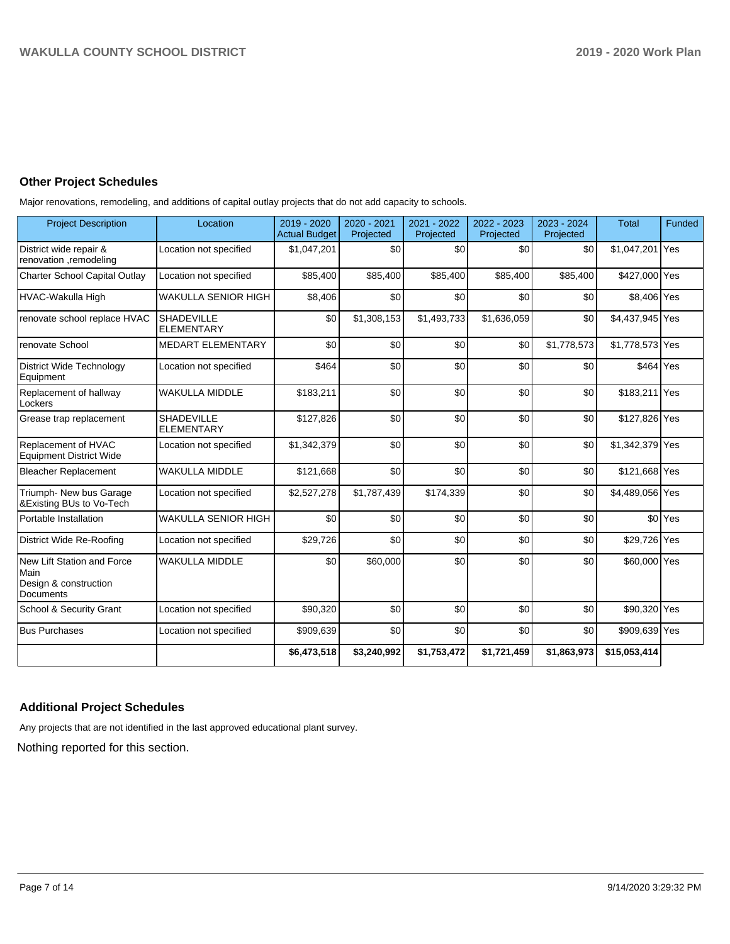## **Other Project Schedules**

Major renovations, remodeling, and additions of capital outlay projects that do not add capacity to schools.

| <b>Project Description</b>                                                      | Location                               | 2019 - 2020<br><b>Actual Budget</b> | $2020 - 2021$<br>Projected | 2021 - 2022<br>Projected | 2022 - 2023<br>Projected | $2023 - 2024$<br>Projected | <b>Total</b>    | <b>Funded</b>      |
|---------------------------------------------------------------------------------|----------------------------------------|-------------------------------------|----------------------------|--------------------------|--------------------------|----------------------------|-----------------|--------------------|
| District wide repair &<br>renovation ,remodeling                                | Location not specified                 | \$1,047,201                         | \$0                        | \$0                      | \$0                      | \$0                        | \$1,047,201 Yes |                    |
| <b>Charter School Capital Outlay</b>                                            | Location not specified                 | \$85,400                            | \$85,400                   | \$85,400                 | \$85,400                 | \$85,400                   | \$427,000 Yes   |                    |
| HVAC-Wakulla High                                                               | <b>WAKULLA SENIOR HIGH</b>             | \$8,406                             | \$0                        | \$0                      | \$0                      | \$0                        | \$8,406 Yes     |                    |
| renovate school replace HVAC                                                    | <b>SHADEVILLE</b><br><b>ELEMENTARY</b> | \$0                                 | \$1,308,153                | \$1,493,733              | \$1,636,059              | \$0                        | \$4,437,945 Yes |                    |
| renovate School                                                                 | <b>MEDART ELEMENTARY</b>               | \$0                                 | \$0                        | \$0                      | \$0                      | \$1,778,573                | \$1,778,573 Yes |                    |
| <b>District Wide Technology</b><br>Equipment                                    | Location not specified                 | \$464                               | \$0                        | \$0                      | \$0                      | \$0                        | \$464 Yes       |                    |
| Replacement of hallway<br>Lockers                                               | <b>WAKULLA MIDDLE</b>                  | \$183,211                           | \$0                        | \$0                      | \$0                      | \$0                        | \$183,211       | Yes                |
| Grease trap replacement                                                         | <b>SHADEVILLE</b><br><b>ELEMENTARY</b> | \$127,826                           | \$0                        | \$0                      | \$0                      | \$0                        | \$127,826 Yes   |                    |
| Replacement of HVAC<br><b>Equipment District Wide</b>                           | Location not specified                 | \$1,342,379                         | \$0                        | \$0                      | \$0                      | \$0                        | \$1,342,379 Yes |                    |
| <b>Bleacher Replacement</b>                                                     | <b>WAKULLA MIDDLE</b>                  | \$121,668                           | \$0                        | \$0                      | \$0                      | \$0                        | \$121,668 Yes   |                    |
| Triumph- New bus Garage<br>&Existing BUs to Vo-Tech                             | Location not specified                 | \$2,527,278                         | \$1,787,439                | \$174,339                | \$0                      | \$0                        | \$4,489,056 Yes |                    |
| Portable Installation                                                           | <b>WAKULLA SENIOR HIGH</b>             | \$0                                 | \$0                        | \$0                      | \$0                      | \$0                        |                 | \$0 <sup>Yes</sup> |
| District Wide Re-Roofing                                                        | Location not specified                 | \$29,726                            | \$0                        | \$0                      | \$0                      | \$0                        | \$29,726 Yes    |                    |
| New Lift Station and Force<br>Main<br>Design & construction<br><b>Documents</b> | <b>WAKULLA MIDDLE</b>                  | \$0                                 | \$60,000                   | \$0                      | \$0                      | \$0                        | \$60,000 Yes    |                    |
| School & Security Grant                                                         | Location not specified                 | \$90,320                            | \$0                        | \$0                      | \$0                      | \$0                        | \$90,320 Yes    |                    |
| <b>Bus Purchases</b>                                                            | Location not specified                 | \$909,639                           | \$0                        | \$0                      | \$0                      | \$0                        | \$909,639 Yes   |                    |
|                                                                                 |                                        | \$6,473,518                         | \$3,240,992                | \$1,753,472              | \$1,721,459              | \$1,863,973                | \$15,053,414    |                    |

## **Additional Project Schedules**

Any projects that are not identified in the last approved educational plant survey.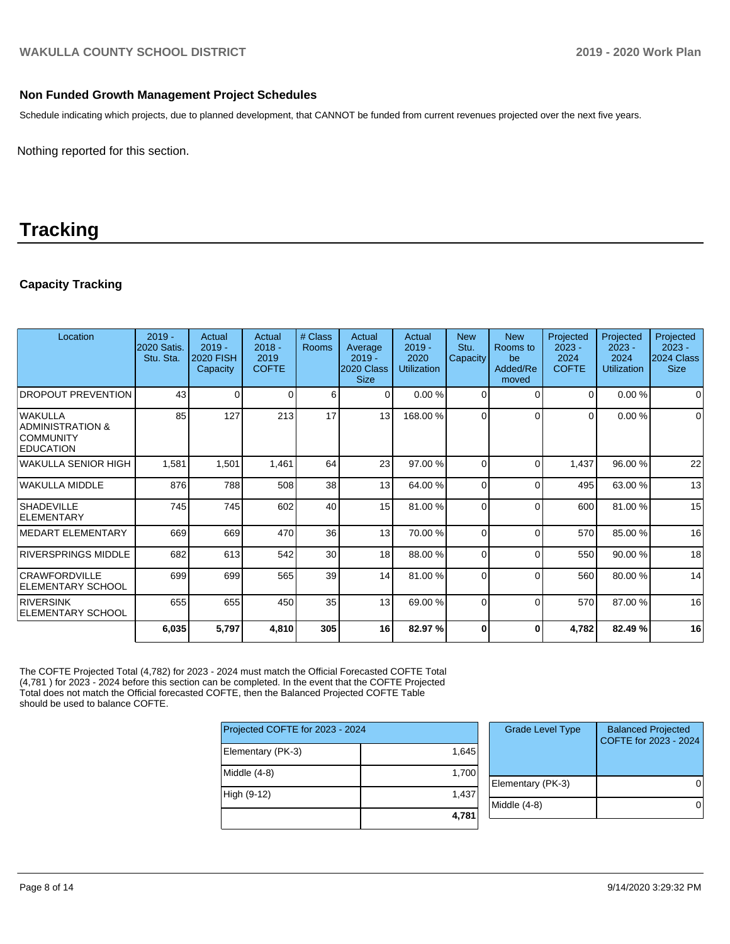## **Non Funded Growth Management Project Schedules**

Schedule indicating which projects, due to planned development, that CANNOT be funded from current revenues projected over the next five years.

Nothing reported for this section.

# **Tracking**

# **Capacity Tracking**

| Location                                                                              | $2019 -$<br>2020 Satis.<br>Stu. Sta. | Actual<br>$2019 -$<br><b>2020 FISH</b><br>Capacity | Actual<br>$2018 -$<br>2019<br><b>COFTE</b> | # Class<br><b>Rooms</b> | Actual<br>Average<br>$2019 -$<br>2020 Class<br><b>Size</b> | Actual<br>$2019 -$<br>2020<br><b>Utilization</b> | <b>New</b><br>Stu.<br>Capacity | <b>New</b><br>Rooms to<br>be<br>Added/Re<br>moved | Projected<br>$2023 -$<br>2024<br><b>COFTE</b> | Projected<br>$2023 -$<br>2024<br>Utilization | Projected<br>$2023 -$<br>2024 Class<br><b>Size</b> |
|---------------------------------------------------------------------------------------|--------------------------------------|----------------------------------------------------|--------------------------------------------|-------------------------|------------------------------------------------------------|--------------------------------------------------|--------------------------------|---------------------------------------------------|-----------------------------------------------|----------------------------------------------|----------------------------------------------------|
| <b>DROPOUT PREVENTION</b>                                                             | 43                                   | 0                                                  | 0                                          | 6                       | 0                                                          | 0.00%                                            | $\Omega$                       | $\Omega$                                          | $\Omega$                                      | 0.00%                                        | $\Omega$                                           |
| <b>WAKULLA</b><br><b>ADMINISTRATION &amp;</b><br><b>COMMUNITY</b><br><b>EDUCATION</b> | 85                                   | 127                                                | 213                                        | 17                      | 13                                                         | 168.00 %                                         | 0                              | $\Omega$                                          | $\Omega$                                      | 0.00%                                        | $\mathbf 0$                                        |
| <b>WAKULLA SENIOR HIGH</b>                                                            | 1,581                                | 1,501                                              | 1,461                                      | 64                      | 23                                                         | 97.00 %                                          | 0                              | $\Omega$                                          | 1,437                                         | 96.00 %                                      | 22                                                 |
| <b>WAKULLA MIDDLE</b>                                                                 | 876                                  | 788                                                | 508                                        | 38                      | 13                                                         | 64.00 %                                          | $\overline{0}$                 | $\Omega$                                          | 495                                           | 63.00 %                                      | 13                                                 |
| <b>SHADEVILLE</b><br>ELEMENTARY                                                       | 745                                  | 745                                                | 602                                        | 40                      | 15                                                         | 81.00 %                                          | $\Omega$                       | $\Omega$                                          | 600                                           | 81.00 %                                      | 15                                                 |
| <b>MEDART ELEMENTARY</b>                                                              | 669                                  | 669                                                | 470                                        | 36                      | 13                                                         | 70.00 %                                          | $\Omega$                       | $\Omega$                                          | 570                                           | 85.00 %                                      | 16                                                 |
| <b>RIVERSPRINGS MIDDLE</b>                                                            | 682                                  | 613                                                | 542                                        | 30                      | 18                                                         | 88.00 %                                          | 0                              | $\Omega$                                          | 550                                           | 90.00 %                                      | 18                                                 |
| <b>CRAWFORDVILLE</b><br><b>ELEMENTARY SCHOOL</b>                                      | 699                                  | 699                                                | 565                                        | 39                      | 14                                                         | 81.00%                                           | 0                              | $\Omega$                                          | 560                                           | 80.00 %                                      | 14                                                 |
| <b>RIVERSINK</b><br><b>ELEMENTARY SCHOOL</b>                                          | 655                                  | 655                                                | 450                                        | 35                      | 13                                                         | 69.00 %                                          | 0                              | $\Omega$                                          | 570                                           | 87.00 %                                      | 16                                                 |
|                                                                                       | 6,035                                | 5,797                                              | 4,810                                      | 305                     | 16                                                         | 82.97 %                                          | 0                              | 0                                                 | 4,782                                         | 82.49%                                       | 16                                                 |

The COFTE Projected Total (4,782) for 2023 - 2024 must match the Official Forecasted COFTE Total (4,781 ) for 2023 - 2024 before this section can be completed. In the event that the COFTE Projected Total does not match the Official forecasted COFTE, then the Balanced Projected COFTE Table should be used to balance COFTE.

| Projected COFTE for 2023 - 2024 |       | <b>Grade Level Type</b> | <b>Balanced Projected</b><br>COFTE for 2023 - 2024 |
|---------------------------------|-------|-------------------------|----------------------------------------------------|
| Elementary (PK-3)               | 1,645 |                         |                                                    |
| Middle (4-8)                    | 1,700 |                         |                                                    |
|                                 |       | Elementary (PK-3)       |                                                    |
| High (9-12)                     | 1,437 |                         |                                                    |
|                                 |       | Middle (4-8)            |                                                    |
|                                 | 4,781 |                         |                                                    |
|                                 |       |                         |                                                    |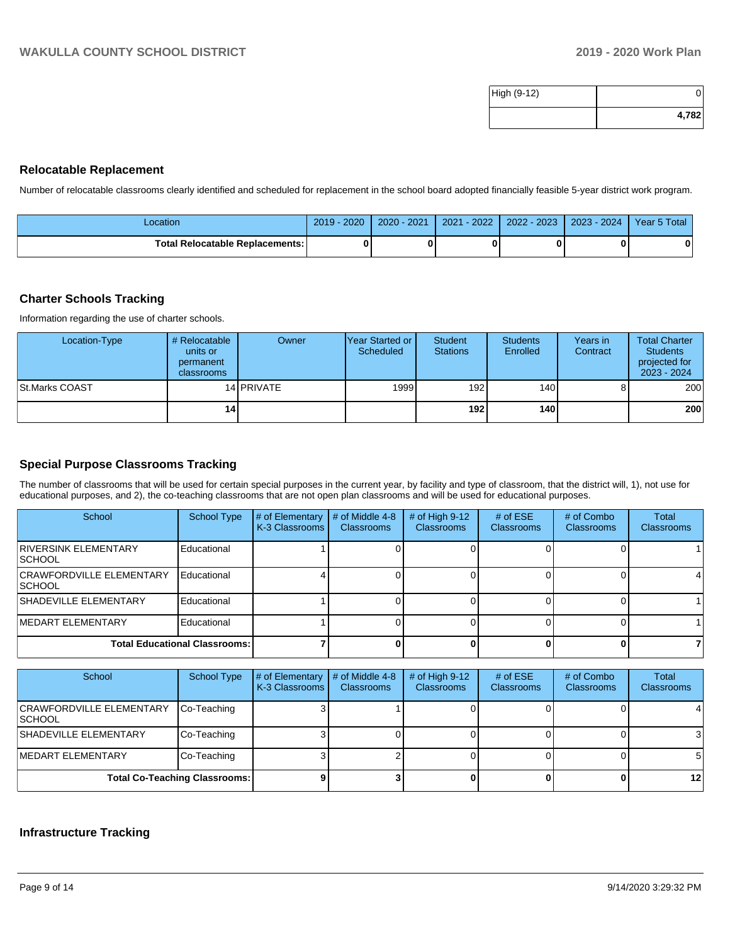| High (9-12) |       |
|-------------|-------|
|             | 4,782 |

### **Relocatable Replacement**

Number of relocatable classrooms clearly identified and scheduled for replacement in the school board adopted financially feasible 5-year district work program.

| Location                          | $2019 - 2020$ | 2020 - 2021 | $-2022$<br>2021 | 2022 - 2023 | 2023 - 2024 | Year 5 Total |
|-----------------------------------|---------------|-------------|-----------------|-------------|-------------|--------------|
| Total Relocatable Replacements: I |               |             |                 |             |             |              |

#### **Charter Schools Tracking**

Information regarding the use of charter schools.

| Location-Type         | # Relocatable<br>units or<br>permanent<br>classrooms | Owner      | IYear Started or<br>Scheduled | <b>Student</b><br><b>Stations</b> | <b>Students</b><br>Enrolled | Years in<br>Contract | <b>Total Charter</b><br><b>Students</b><br>projected for<br>$2023 - 2024$ |
|-----------------------|------------------------------------------------------|------------|-------------------------------|-----------------------------------|-----------------------------|----------------------|---------------------------------------------------------------------------|
| <b>St.Marks COAST</b> |                                                      | 14 PRIVATE | 1999                          | 192 <sub>l</sub>                  | 140 l                       |                      | 200                                                                       |
|                       | 14 <sub>1</sub>                                      |            |                               | 192 <sub>l</sub>                  | 140 <sup>1</sup>            |                      | 200                                                                       |

### **Special Purpose Classrooms Tracking**

The number of classrooms that will be used for certain special purposes in the current year, by facility and type of classroom, that the district will, 1), not use for educational purposes, and 2), the co-teaching classrooms that are not open plan classrooms and will be used for educational purposes.

| School                                     | <b>School Type</b> | # of Elementary<br>K-3 Classrooms | # of Middle 4-8<br>Classrooms | # of High $9-12$<br>Classrooms | # of $ESE$<br><b>Classrooms</b> | # of Combo<br>Classrooms | Total<br>Classrooms |
|--------------------------------------------|--------------------|-----------------------------------|-------------------------------|--------------------------------|---------------------------------|--------------------------|---------------------|
| <b>RIVERSINK ELEMENTARY</b><br> SCHOOL     | Educational        |                                   |                               |                                |                                 |                          |                     |
| <b>CRAWFORDVILLE ELEMENTARY</b><br> SCHOOL | Educational        |                                   |                               |                                |                                 |                          |                     |
| SHADEVILLE ELEMENTARY                      | Educational        |                                   |                               |                                |                                 |                          |                     |
| <b>IMEDART ELEMENTARY</b>                  | Educational        |                                   |                               |                                |                                 |                          |                     |
| <b>Total Educational Classrooms:</b>       |                    |                                   |                               |                                |                                 |                          | 7                   |

| School                                           | <b>School Type</b> | # of Elementary<br>K-3 Classrooms | # of Middle 4-8<br><b>Classrooms</b> | $#$ of High 9-12<br><b>Classrooms</b> | # of $ESE$<br><b>Classrooms</b> | # of Combo<br><b>Classrooms</b> | Total<br><b>Classrooms</b> |
|--------------------------------------------------|--------------------|-----------------------------------|--------------------------------------|---------------------------------------|---------------------------------|---------------------------------|----------------------------|
| <b>CRAWFORDVILLE ELEMENTARY</b><br><b>SCHOOL</b> | Co-Teaching        |                                   |                                      |                                       |                                 |                                 |                            |
| <b>SHADEVILLE ELEMENTARY</b>                     | Co-Teaching        |                                   |                                      |                                       |                                 |                                 | 31                         |
| <b>IMEDART ELEMENTARY</b>                        | Co-Teaching        |                                   |                                      |                                       |                                 |                                 | 51                         |
| <b>Total Co-Teaching Classrooms:</b>             |                    |                                   |                                      |                                       |                                 |                                 | 12 <sub>l</sub>            |

## **Infrastructure Tracking**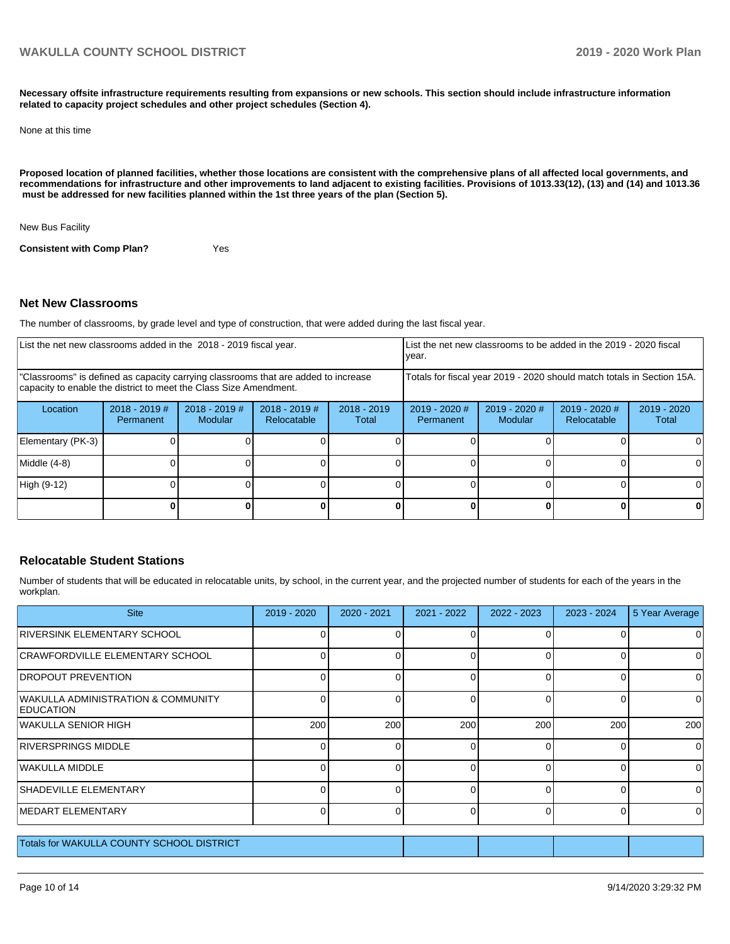**Necessary offsite infrastructure requirements resulting from expansions or new schools. This section should include infrastructure information related to capacity project schedules and other project schedules (Section 4).** 

None at this time

**Proposed location of planned facilities, whether those locations are consistent with the comprehensive plans of all affected local governments, and recommendations for infrastructure and other improvements to land adjacent to existing facilities. Provisions of 1013.33(12), (13) and (14) and 1013.36** must be addressed for new facilities planned within the 1st three years of the plan (Section 5).

New Bus Facility

**Consistent with Comp Plan?** Yes

#### **Net New Classrooms**

The number of classrooms, by grade level and type of construction, that were added during the last fiscal year.

| List the net new classrooms added in the 2018 - 2019 fiscal year.                                                                                       |                              |                                   |                                |                        | List the net new classrooms to be added in the 2019 - 2020 fiscal<br>year. |                            |                                |                        |
|---------------------------------------------------------------------------------------------------------------------------------------------------------|------------------------------|-----------------------------------|--------------------------------|------------------------|----------------------------------------------------------------------------|----------------------------|--------------------------------|------------------------|
| "Classrooms" is defined as capacity carrying classrooms that are added to increase<br>capacity to enable the district to meet the Class Size Amendment. |                              |                                   |                                |                        | Totals for fiscal year 2019 - 2020 should match totals in Section 15A.     |                            |                                |                        |
| Location                                                                                                                                                | $2018 - 2019$ #<br>Permanent | $2018 - 2019$ #<br><b>Modular</b> | $2018 - 2019$ #<br>Relocatable | $2018 - 2019$<br>Total | $2019 - 2020$ #<br>Permanent                                               | $2019 - 2020$ #<br>Modular | $2019 - 2020$ #<br>Relocatable | $2019 - 2020$<br>Total |
| Elementary (PK-3)                                                                                                                                       |                              |                                   |                                |                        |                                                                            |                            |                                |                        |
| Middle (4-8)                                                                                                                                            |                              |                                   |                                |                        |                                                                            |                            |                                |                        |
| High (9-12)                                                                                                                                             |                              |                                   |                                |                        |                                                                            |                            |                                | 0                      |
|                                                                                                                                                         |                              |                                   |                                |                        |                                                                            |                            |                                |                        |

### **Relocatable Student Stations**

Number of students that will be educated in relocatable units, by school, in the current year, and the projected number of students for each of the years in the workplan.

| <b>Site</b>                                            | 2019 - 2020  | $2020 - 2021$ | 2021 - 2022 | $2022 - 2023$ | $2023 - 2024$ | 5 Year Average |
|--------------------------------------------------------|--------------|---------------|-------------|---------------|---------------|----------------|
| RIVERSINK ELEMENTARY SCHOOL                            |              |               |             |               |               |                |
| CRAWFORDVILLE ELEMENTARY SCHOOL                        |              |               | 0           | $\Omega$      |               | 0              |
| <b>DROPOUT PREVENTION</b>                              |              |               | 0           |               |               | $\Omega$       |
| WAKULLA ADMINISTRATION & COMMUNITY<br><b>EDUCATION</b> | <sup>0</sup> |               | 0           | $\Omega$      |               | $\Omega$       |
| WAKULLA SENIOR HIGH                                    | 200          | 200           | 200         | 200           | 200           | 200            |
| RIVERSPRINGS MIDDLE                                    |              |               | $\Omega$    | <sup>0</sup>  |               | $\Omega$       |
| WAKULLA MIDDLE                                         |              |               | $\Omega$    | $\Omega$      |               | $\Omega$       |
| <b>SHADEVILLE ELEMENTARY</b>                           |              |               | $\Omega$    |               |               | 0              |
| <b>IMEDART ELEMENTARY</b>                              | $\Omega$     |               | $\Omega$    | $\Omega$      | 0             | $\Omega$       |
| Totals for WAKULLA COUNTY SCHOOL DISTRICT              |              |               |             |               |               |                |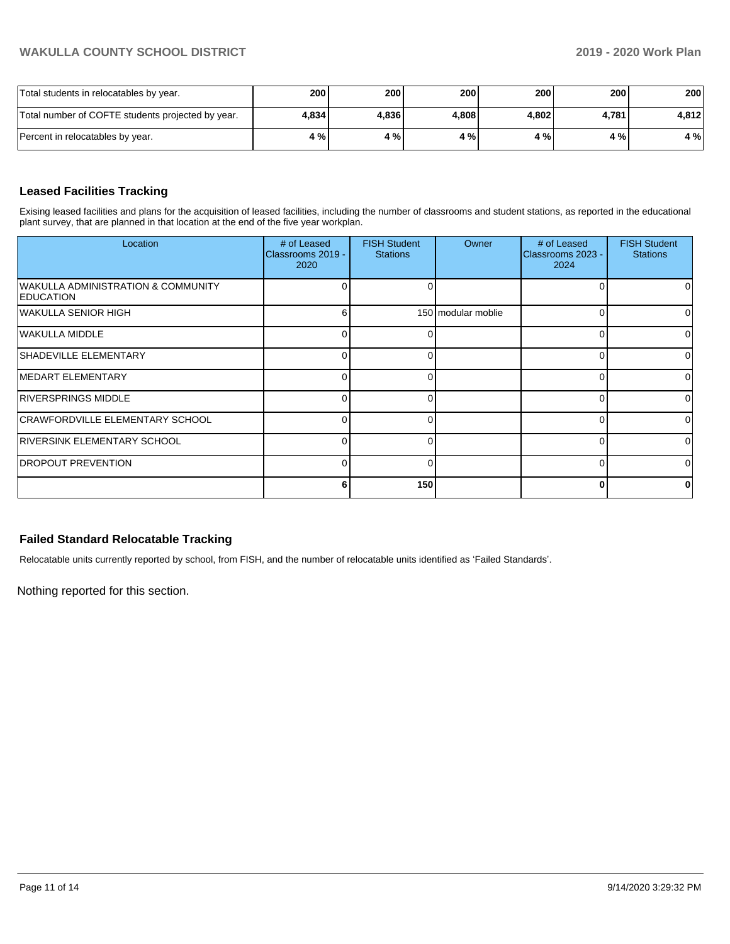# **WAKULLA COUNTY SCHOOL DISTRICT 2019 - 2020 Work Plan**

| Total students in relocatables by year.           | <b>200</b> | 200   | 200   | 200 l | <b>200</b> | 200   |
|---------------------------------------------------|------------|-------|-------|-------|------------|-------|
| Total number of COFTE students projected by year. | 4.834      | 4.836 | 4.808 | 4.802 | 4.781      | 4.812 |
| Percent in relocatables by year.                  | 4 % I      | 4 % I | 4 % I | 4 % I | 4 % I      | 4 %   |

# **Leased Facilities Tracking**

Exising leased facilities and plans for the acquisition of leased facilities, including the number of classrooms and student stations, as reported in the educational plant survey, that are planned in that location at the end of the five year workplan.

| Location                                                   | # of Leased<br>Classrooms 2019 -<br>2020 | <b>FISH Student</b><br><b>Stations</b> | Owner              | # of Leased<br>Classrooms 2023 -<br>2024 | <b>FISH Student</b><br><b>Stations</b> |
|------------------------------------------------------------|------------------------------------------|----------------------------------------|--------------------|------------------------------------------|----------------------------------------|
| <b>WAKULLA ADMINISTRATION &amp; COMMUNITY</b><br>EDUCATION | 0                                        |                                        |                    |                                          | 0                                      |
| IWAKULLA SENIOR HIGH                                       | 6                                        |                                        | 150 modular moblie |                                          | 0                                      |
| WAKULLA MIDDLE                                             | $\Omega$                                 |                                        |                    |                                          | 0                                      |
| <b>SHADEVILLE ELEMENTARY</b>                               | $\Omega$                                 |                                        |                    |                                          | 0                                      |
| <b>IMEDART ELEMENTARY</b>                                  | $\Omega$                                 |                                        |                    |                                          | $\Omega$                               |
| <b>RIVERSPRINGS MIDDLE</b>                                 | $\Omega$                                 |                                        |                    |                                          | $\Omega$                               |
| <b>CRAWFORDVILLE ELEMENTARY SCHOOL</b>                     | $\Omega$                                 |                                        |                    |                                          | $\Omega$                               |
| <b>RIVERSINK ELEMENTARY SCHOOL</b>                         | $\Omega$                                 |                                        |                    |                                          | $\Omega$                               |
| <b>DROPOUT PREVENTION</b>                                  | $\Omega$                                 |                                        |                    |                                          | $\Omega$                               |
|                                                            | 6                                        | 150                                    |                    |                                          | 0                                      |

## **Failed Standard Relocatable Tracking**

Relocatable units currently reported by school, from FISH, and the number of relocatable units identified as 'Failed Standards'.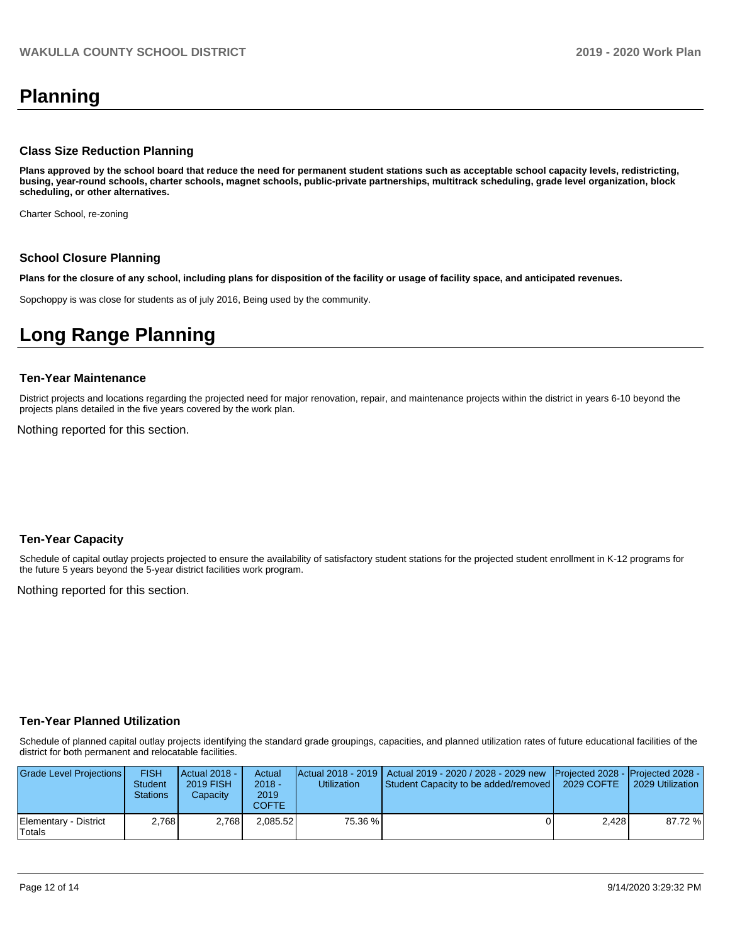# **Planning**

#### **Class Size Reduction Planning**

**Plans approved by the school board that reduce the need for permanent student stations such as acceptable school capacity levels, redistricting, busing, year-round schools, charter schools, magnet schools, public-private partnerships, multitrack scheduling, grade level organization, block scheduling, or other alternatives.**

Charter School, re-zoning

#### **School Closure Planning**

**Plans for the closure of any school, including plans for disposition of the facility or usage of facility space, and anticipated revenues.** 

Sopchoppy is was close for students as of july 2016, Being used by the community.

# **Long Range Planning**

#### **Ten-Year Maintenance**

District projects and locations regarding the projected need for major renovation, repair, and maintenance projects within the district in years 6-10 beyond the projects plans detailed in the five years covered by the work plan.

Nothing reported for this section.

### **Ten-Year Capacity**

Schedule of capital outlay projects projected to ensure the availability of satisfactory student stations for the projected student enrollment in K-12 programs for the future 5 years beyond the 5-year district facilities work program.

Nothing reported for this section.

### **Ten-Year Planned Utilization**

Schedule of planned capital outlay projects identifying the standard grade groupings, capacities, and planned utilization rates of future educational facilities of the district for both permanent and relocatable facilities.

| Grade Level Projections         | <b>FISH</b><br><b>Student</b><br><b>Stations</b> | <b>Actual 2018 -</b><br>2019 FISH<br>Capacity | Actual<br>$2018 -$<br>2019<br>COFTE | Utilization | Actual 2018 - 2019   Actual 2019 - 2020 / 2028 - 2029 new   Projected 2028 -   Projected 2028 -<br>Student Capacity to be added/removed | 2029 COFTE | 2029 Utilization |
|---------------------------------|--------------------------------------------------|-----------------------------------------------|-------------------------------------|-------------|-----------------------------------------------------------------------------------------------------------------------------------------|------------|------------------|
| Elementary - District<br>Totals | 2,768                                            | 2.768                                         | 2.085.52                            | 75.36 %     |                                                                                                                                         | 2.428      | 87.72 %          |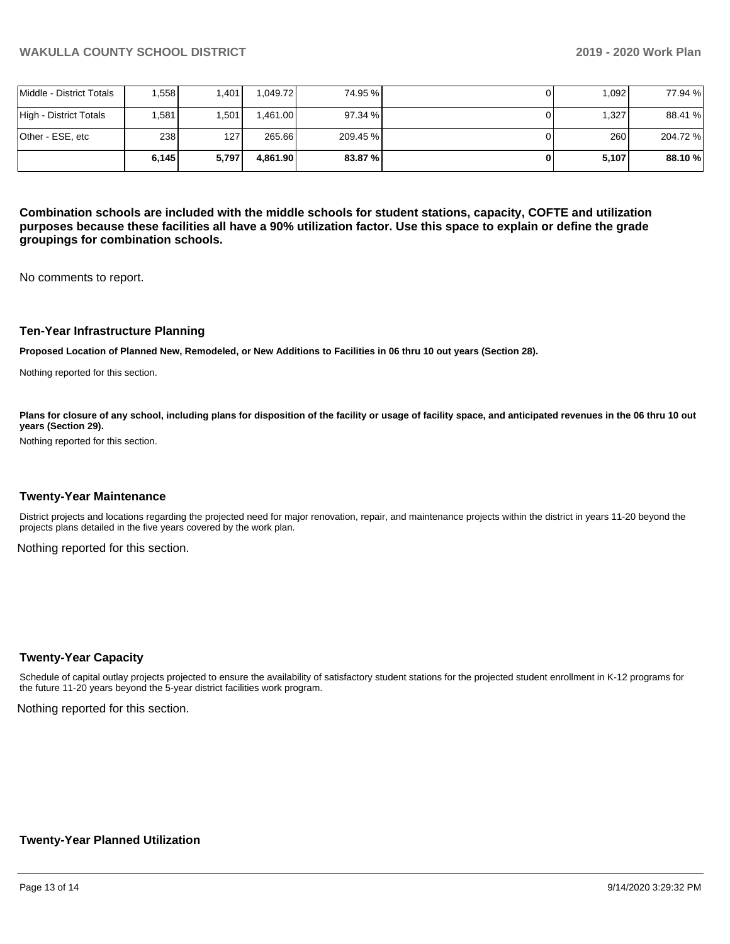|                          | 6.145 | 5,797 | 4.861.90 | 83.87 %  | 5,107 | 88.10%  |
|--------------------------|-------|-------|----------|----------|-------|---------|
| lOther - ESE. etc        | 238 I | 1271  | 265.66   | 209.45 % | 260   | 204.72% |
| High - District Totals   | .581  | 1.501 | 1.461.00 | 97.34 %  | 1,327 | 88.41 % |
| Middle - District Totals | .558  | .401  | 1.049.72 | 74.95 %  | 1.092 | 77.94 % |

**Combination schools are included with the middle schools for student stations, capacity, COFTE and utilization purposes because these facilities all have a 90% utilization factor. Use this space to explain or define the grade groupings for combination schools.** 

No comments to report.

#### **Ten-Year Infrastructure Planning**

**Proposed Location of Planned New, Remodeled, or New Additions to Facilities in 06 thru 10 out years (Section 28).**

Nothing reported for this section.

Plans for closure of any school, including plans for disposition of the facility or usage of facility space, and anticipated revenues in the 06 thru 10 out **years (Section 29).**

Nothing reported for this section.

#### **Twenty-Year Maintenance**

District projects and locations regarding the projected need for major renovation, repair, and maintenance projects within the district in years 11-20 beyond the projects plans detailed in the five years covered by the work plan.

Nothing reported for this section.

### **Twenty-Year Capacity**

Schedule of capital outlay projects projected to ensure the availability of satisfactory student stations for the projected student enrollment in K-12 programs for the future 11-20 years beyond the 5-year district facilities work program.

Nothing reported for this section.

### **Twenty-Year Planned Utilization**